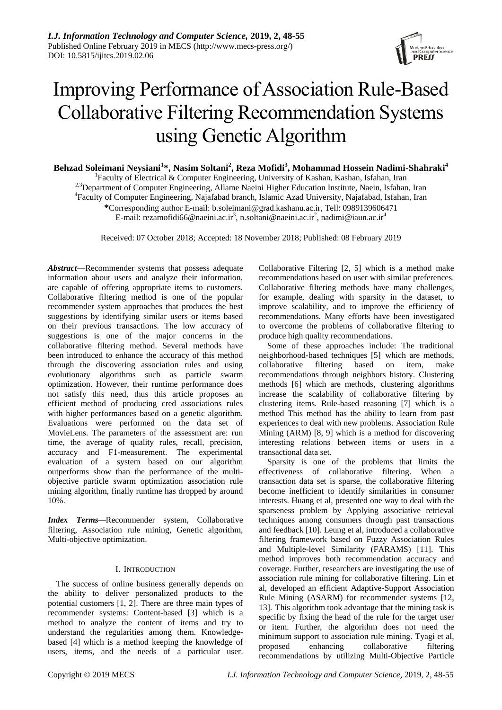

# Improving Performance of Association Rule-Based Collaborative Filtering Recommendation Systems using Genetic Algorithm

**Behzad Soleimani Neysiani<sup>1</sup> \*, Nasim Soltani<sup>2</sup> , Reza Mofidi<sup>3</sup> , Mohammad Hossein Nadimi-Shahraki<sup>4</sup>**

<sup>1</sup>Faculty of Electrical & Computer Engineering, University of Kashan, Kashan, Isfahan, Iran

<sup>2,3</sup>Department of Computer Engineering, Allame Naeini Higher Education Institute, Naein, Isfahan, Iran

4 Faculty of Computer Engineering, Najafabad branch, Islamic Azad University, Najafabad, Isfahan, Iran

**\***Corresponding author E-mail: b.soleimani@grad.kashanu.ac.ir, Tell: 0989139606471

E-mail: rezamofidi66@naeini.ac.ir<sup>3</sup>, n.soltani@naeini.ac.ir<sup>2</sup>, nadimi@iaun.ac.ir<sup>4</sup>

Received: 07 October 2018; Accepted: 18 November 2018; Published: 08 February 2019

*Abstract*—Recommender systems that possess adequate information about users and analyze their information, are capable of offering appropriate items to customers. Collaborative filtering method is one of the popular recommender system approaches that produces the best suggestions by identifying similar users or items based on their previous transactions. The low accuracy of suggestions is one of the major concerns in the collaborative filtering method. Several methods have been introduced to enhance the accuracy of this method through the discovering association rules and using evolutionary algorithms such as particle swarm optimization. However, their runtime performance does not satisfy this need, thus this article proposes an efficient method of producing cred associations rules with higher performances based on a genetic algorithm. Evaluations were performed on the data set of MovieLens. The parameters of the assessment are: run time, the average of quality rules, recall, precision, accuracy and F1-measurement. The experimental evaluation of a system based on our algorithm outperforms show than the performance of the multiobjective particle swarm optimization association rule mining algorithm, finally runtime has dropped by around 10%.

*Index Terms—*Recommender system, Collaborative filtering, Association rule mining, Genetic algorithm, Multi-objective optimization.

# I. INTRODUCTION

The success of online business generally depends on the ability to deliver personalized products to the potential customers [1, [2\]](#page-6-0). There are three main types of recommender systems: Content-based [\[3\]](#page-6-1) which is a method to analyze the content of items and try to understand the regularities among them. Knowledgebased [\[4\]](#page-6-2) which is a method keeping the knowledge of users, items, and the needs of a particular user.

Collaborative Filtering [\[2,](#page-6-0) [5\]](#page-6-3) which is a method make recommendations based on user with similar preferences. Collaborative filtering methods have many challenges, for example, dealing with sparsity in the dataset, to improve scalability, and to improve the efficiency of recommendations. Many efforts have been investigated to overcome the problems of collaborative filtering to produce high quality recommendations.

Some of these approaches include: The traditional neighborhood-based techniques [\[5\]](#page-6-3) which are methods, collaborative filtering based on item, make recommendations through neighbors history. Clustering methods [\[6\]](#page-6-4) which are methods, clustering algorithms increase the scalability of collaborative filtering by clustering items. Rule-based reasoning [\[7\]](#page-6-5) which is a method This method has the ability to learn from past experiences to deal with new problems. Association Rule Mining (ARM) [\[8,](#page-6-6) [9\]](#page-6-7) which is a method for discovering interesting relations between items or users in a transactional data set.

Sparsity is one of the problems that limits the effectiveness of collaborative filtering. When a transaction data set is sparse, the collaborative filtering become inefficient to identify similarities in consumer interests. Huang et al, presented one way to deal with the sparseness problem by Applying associative retrieval techniques among consumers through past transactions and feedback [\[10\]](#page-6-8). Leung et al, introduced a collaborative filtering framework based on Fuzzy Association Rules and Multiple-level Similarity (FARAMS) [\[11\]](#page-6-9). This method improves both recommendation accuracy and coverage. Further, researchers are investigating the use of association rule mining for collaborative filtering. Lin et al, developed an efficient Adaptive-Support Association Rule Mining (ASARM) for recommender systems [\[12,](#page-6-10) [13\]](#page-6-11). This algorithm took advantage that the mining task is specific by fixing the head of the rule for the target user or item. Further, the algorithm does not need the minimum support to association rule mining. Tyagi et al, proposed enhancing collaborative filtering recommendations by utilizing Multi-Objective Particle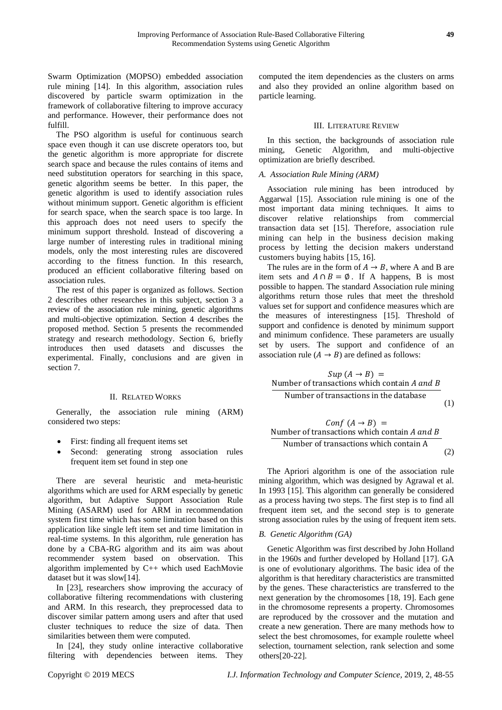Swarm Optimization (MOPSO) embedded association rule mining [\[14\]](#page-6-12). In this algorithm, association rules discovered by particle swarm optimization in the framework of collaborative filtering to improve accuracy and performance. However, their performance does not fulfill.

The PSO algorithm is useful for continuous search space even though it can use discrete operators too, but the genetic algorithm is more appropriate for discrete search space and because the rules contains of items and need substitution operators for searching in this space, genetic algorithm seems be better. In this paper, the genetic algorithm is used to identify association rules without minimum support. Genetic algorithm is efficient for search space, when the search space is too large. In this approach does not need users to specify the minimum support threshold. Instead of discovering a large number of interesting rules in traditional mining models, only the most interesting rules are discovered according to the fitness function. In this research, produced an efficient collaborative filtering based on association rules.

The rest of this paper is organized as follows. Section 2 describes other researches in this subject, section 3 a review of the association rule mining, genetic algorithms and multi-objective optimization. Section 4 describes the proposed method. Section 5 presents the recommended strategy and research methodology. Section 6, briefly introduces then used datasets and discusses the experimental. Finally, conclusions and are given in section 7.

## II. RELATED WORKS

Generally, the association rule mining (ARM) considered two steps:

- First: finding all frequent items set
- Second: generating strong association rules frequent item set found in step one

There are several heuristic and meta-heuristic algorithms which are used for ARM especially by genetic algorithm, but Adaptive Support Association Rule Mining (ASARM) used for ARM in recommendation system first time which has some limitation based on this application like single left item set and time limitation in real-time systems. In this algorithm, rule generation has done by a CBA-RG algorithm and its aim was about recommender system based on observation. This algorithm implemented by C++ which used EachMovie dataset but it was slow[\[14\]](#page-6-12).

In [\[23\]](#page-7-0), researchers show improving the accuracy of collaborative filtering recommendations with clustering and ARM. In this research, they preprocessed data to discover similar pattern among users and after that used cluster techniques to reduce the size of data. Then similarities between them were computed.

In [\[24\]](#page-7-1), they study online interactive collaborative filtering with dependencies between items. They

computed the item dependencies as the clusters on arms and also they provided an online algorithm based on particle learning.

## III. LITERATURE REVIEW

In this section, the backgrounds of association rule mining, Genetic Algorithm, and multi-objective optimization are briefly described.

# *A. Association Rule Mining (ARM)*

Association rule mining has been introduced by Aggarwal [\[15\]](#page-7-2). Association rule mining is one of the most important data mining techniques. It aims to discover relative relationships from commercial transaction data set [\[15\]](#page-7-2). Therefore, association rule mining can help in the business decision making process by letting the decision makers understand customers buying habits [\[15,](#page-7-2) [16\]](#page-7-3).

The rules are in the form of  $A \rightarrow B$ , where A and B are item sets and  $A \cap B = \emptyset$ . If A happens, B is most possible to happen. The standard Association rule mining algorithms return those rules that meet the threshold values set for support and confidence measures which are the measures of interestingness [\[15\]](#page-7-2). Threshold of support and confidence is denoted by minimum support and minimum confidence. These parameters are usually set by users. The support and confidence of an association rule  $(A \rightarrow B)$  are defined as follows:

$$
Sup (A \rightarrow B) =
$$
  
Number of transactions which contain *A* and *B*  
Number of transactions in the database (1)

 (2)

The Apriori algorithm is one of the association rule mining algorithm, which was designed by Agrawal et al. In 1993 [\[15\]](#page-7-2). This algorithm can generally be considered as a process having two steps. The first step is to find all frequent item set, and the second step is to generate strong association rules by the using of frequent item sets.

# *B. Genetic Algorithm (GA)*

Genetic Algorithm was first described by John Holland in the 1960s and further developed by Holland [\[17\]](#page-7-4). GA is one of evolutionary algorithms. The basic idea of the algorithm is that hereditary characteristics are transmitted by the genes. These characteristics are transferred to the next generation by the chromosomes [\[18,](#page-7-5) [19\]](#page-7-6). Each gene in the chromosome represents a property. Chromosomes are reproduced by the crossover and the mutation and create a new generation. There are many methods how to select the best chromosomes, for example roulette wheel selection, tournament selection, rank selection and some others[\[20-22\]](#page-7-7).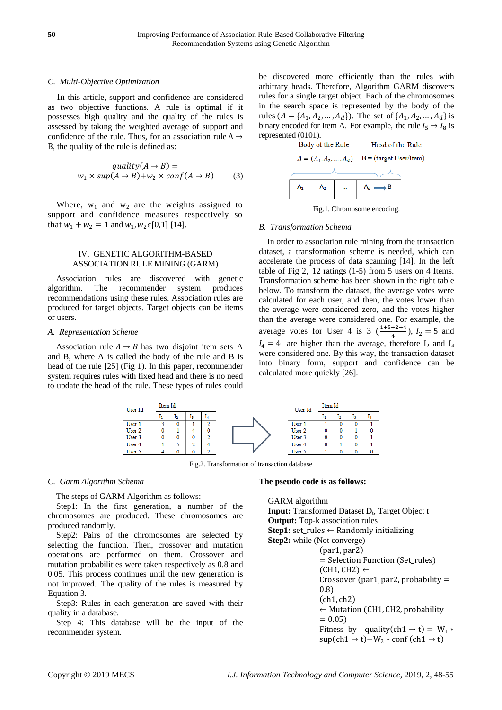## *C. Multi-Objective Optimization*

In this article, support and confidence are considered as two objective functions. A rule is optimal if it possesses high quality and the quality of the rules is assessed by taking the weighted average of support and confidence of the rule. Thus, for an association rule  $A \rightarrow$ B, the quality of the rule is defined as:

$$
quality(A \to B) =
$$
  

$$
w_1 \times sup(A \to B) + w_2 \times conf(A \to B)
$$
 (3)

Where,  $w_1$  and  $w_2$  are the weights assigned to support and confidence measures respectively so that  $w_1 + w_2 = 1$  and  $w_1, w_2 \in [0,1]$  [\[14\]](#page-6-12).

# IV. GENETIC ALGORITHM-BASED ASSOCIATION RULE MINING (GARM)

Association rules are discovered with genetic algorithm. The recommender system produces recommendations using these rules. Association rules are produced for target objects. Target objects can be items or users.

## *A. Representation Scheme*

Association rule  $A \rightarrow B$  has two disjoint item sets A and B, where A is called the body of the rule and B is head of the rule [\[25\]](#page-7-8) (Fig 1). In this paper, recommender system requires rules with fixed head and there is no need to update the head of the rule. These types of rules could





Fig.1. Chromosome encoding.

#### *B. Transformation Schema*

In order to association rule mining from the transaction dataset, a transformation scheme is needed, which can accelerate the process of data scanning [\[14\]](#page-6-12). In the left table of Fig 2, 12 ratings (1-5) from 5 users on 4 Items. Transformation scheme has been shown in the right table below. To transform the dataset, the average votes were calculated for each user, and then, the votes lower than the average were considered zero, and the votes higher than the average were considered one. For example, the average votes for User 4 is 3  $(\frac{1+5+2+4}{4})$ ,  $I_2 = 5$  and  $I_4 = 4$  are higher than the average, therefore  $I_2$  and  $I_4$ were considered one. By this way, the transaction dataset into binary form, support and confidence can be calculated more quickly [\[26\]](#page-7-9).



Fig.2. Transformation of transaction database

## *C. Garm Algorithm Schema*

The steps of GARM Algorithm as follows:

Step1: In the first generation, a number of the chromosomes are produced. These chromosomes are produced randomly.

Step2: Pairs of the chromosomes are selected by selecting the function. Then, crossover and mutation operations are performed on them. Crossover and mutation probabilities were taken respectively as 0.8 and 0.05. This process continues until the new generation is not improved. The quality of the rules is measured by Equation 3.

Step3: Rules in each generation are saved with their quality in a database.

Step 4: This database will be the input of the recommender system.

#### **The pseudo code is as follows:**

GARM algorithm Input: Transformed Dataset D<sub>t</sub>, Target Object t **Output:** Top-k association rules **Step1:** set\_rules  $\leftarrow$  Randomly initializing **Step2:** while (Not converge)  $=$  Selection Function (Set rules)  $(CH1, CH2) \leftarrow$ Crossover (par1, par2, probability  $=$  $(0.8)$  $(ch1, ch2)$  $\leftarrow$  Mutation (CH1, CH2, probability  $= 0.05$ Fitness by quality(ch1  $\rightarrow$  t) = W<sub>1</sub> \*  $\sup(\text{ch}1 \rightarrow t) + W_2 \cdot \text{conf}(\text{ch}1 \rightarrow t)$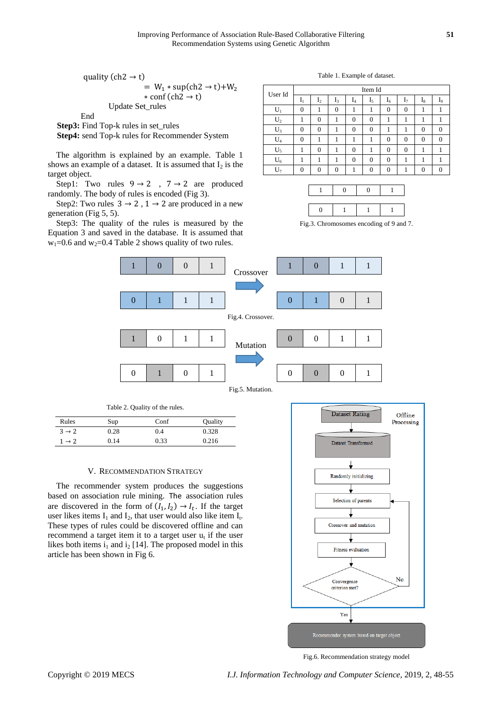quality (ch2  $\rightarrow$  t)  $= W_1 * sup(ch2 \rightarrow t)+W_2$  $*$  conf (ch2  $\rightarrow$  t) Update Set\_rules

End

**Step3:** Find Top-k rules in set rules

**Step4:** send Top-k rules for Recommender System

The algorithm is explained by an example. [Table 1](#page-3-0) shows an example of a dataset. It is assumed that  $I_2$  is the target object.

Step1: Two rules  $9 \rightarrow 2$ ,  $7 \rightarrow 2$  are produced randomly. The body of rules is encoded (Fig 3).

Step2: Two rules  $3 \rightarrow 2$ ,  $1 \rightarrow 2$  are produced in a new generation (Fig 5, 5).

Step3: The quality of the rules is measured by the Equation 3 and saved in the database. It is assumed that  $w_1$ =0.6 and  $w_2$ =0.4 Table 2 shows quality of two rules.

Table 1. Example of dataset.

<span id="page-3-0"></span>

| User Id | Item Id  |                |       |          |          |          |                |         |          |
|---------|----------|----------------|-------|----------|----------|----------|----------------|---------|----------|
|         | $I_1$    | I <sub>2</sub> | $I_3$ | $I_4$    | $I_5$    | $I_6$    | I <sub>7</sub> | $_{18}$ | l9       |
| $U_1$   | $\theta$ |                | 0     |          |          | $\theta$ | $\Omega$       |         |          |
| $U_2$   |          | $\Omega$       |       | 0        | 0        |          |                |         |          |
| $U_3$   | $\Omega$ | $\Omega$       |       | 0        | 0        |          |                | 0       | $\Omega$ |
| $U_4$   | $\Omega$ |                |       |          |          | $\Omega$ | $\Omega$       | 0       | 0        |
| $U_5$   |          | 0              |       | 0        |          | $\theta$ | $\Omega$       |         |          |
| $U_6$   |          |                |       | $\theta$ | $\Omega$ | $\Omega$ |                |         |          |
|         | $\Omega$ | 0              | 0     |          | 0        | $\Omega$ |                | 0       | 0        |

Fig.3. Chromosomes encoding of 9 and 7.





| Rules             | Sup  | Conf | Quality |
|-------------------|------|------|---------|
| $3 \rightarrow 2$ | 0.28 | 0.4  | 0.328   |
| $1 \rightarrow 2$ | 0.14 | 0.33 | 0.216   |

#### V. RECOMMENDATION STRATEGY

The recommender system produces the suggestions based on association rule mining. The association rules are discovered in the form of  $(I_1, I_2) \rightarrow I_t$ . If the target user likes items  $I_1$  and  $I_2$ , that user would also like item  $I_t$ . These types of rules could be discovered offline and can recommend a target item it to a target user  $u_t$  if the user likes both items  $i_1$  and  $i_2$  [\[14\]](#page-6-12). The proposed model in this article has been shown in Fig 6.



Fig.6. Recommendation strategy model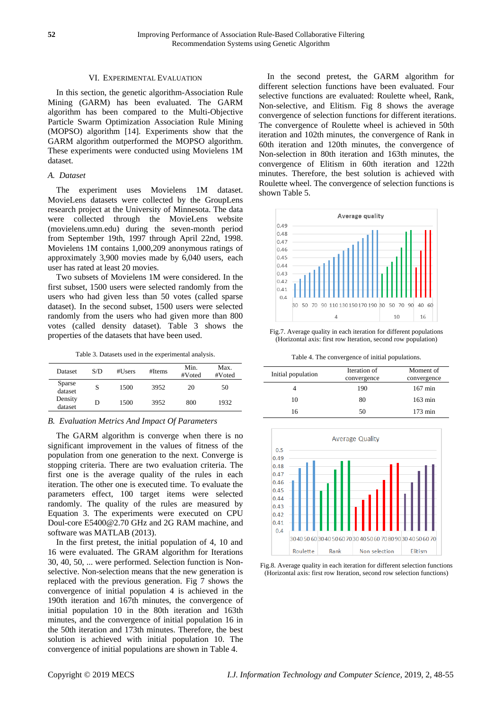## VI. EXPERIMENTAL EVALUATION

In this section, the genetic algorithm-Association Rule Mining (GARM) has been evaluated. The GARM algorithm has been compared to the Multi-Objective Particle Swarm Optimization Association Rule Mining (MOPSO) algorithm [\[14\]](#page-6-12). Experiments show that the GARM algorithm outperformed the MOPSO algorithm. These experiments were conducted using Movielens 1M dataset.

## *A. Dataset*

The experiment uses Movielens 1M dataset. MovieLens datasets were collected by the GroupLens research project at the University of Minnesota. The data were collected through the MovieLens website (movielens.umn.edu) during the seven-month period from September 19th, 1997 through April 22nd, 1998. Movielens 1M contains 1,000,209 anonymous ratings of approximately 3,900 movies made by 6,040 users, each user has rated at least 20 movies.

Two subsets of Movielens 1M were considered. In the first subset, 1500 users were selected randomly from the users who had given less than 50 votes (called sparse dataset). In the second subset, 1500 users were selected randomly from the users who had given more than 800 votes (called density dataset). Table 3 shows the properties of the datasets that have been used.

Table 3. Datasets used in the experimental analysis.

| Dataset            | S/D | #Users | #Items | Min.<br>#Voted | Max.<br>#Voted |
|--------------------|-----|--------|--------|----------------|----------------|
| Sparse<br>dataset  | S   | 1500   | 3952   | 20             | 50             |
| Density<br>dataset | D   | 1500   | 3952   | 800            | 1932           |

## *B. Evaluation Metrics And Impact Of Parameters*

The GARM algorithm is converge when there is no significant improvement in the values of fitness of the population from one generation to the next. Converge is stopping criteria. There are two evaluation criteria. The first one is the average quality of the rules in each iteration. The other one is executed time. To evaluate the parameters effect, 100 target items were selected randomly. The quality of the rules are measured by Equation 3. The experiments were executed on CPU Doul-core E5400@2.70 GHz and 2G RAM machine, and software was MATLAB (2013).

In the first pretest, the initial population of 4, 10 and 16 were evaluated. The GRAM algorithm for Iterations 30, 40, 50, ... were performed. Selection function is Nonselective. Non-selection means that the new generation is replaced with the previous generation. Fig 7 shows the convergence of initial population 4 is achieved in the 190th iteration and 167th minutes, the convergence of initial population 10 in the 80th iteration and 163th minutes, and the convergence of initial population 16 in the 50th iteration and 173th minutes. Therefore, the best solution is achieved with initial population 10. The convergence of initial populations are shown in Table 4.

In the second pretest, the GARM algorithm for different selection functions have been evaluated. Four selective functions are evaluated: Roulette wheel, Rank, Non-selective, and Elitism. Fig 8 shows the average convergence of selection functions for different iterations. The convergence of Roulette wheel is achieved in 50th iteration and 102th minutes, the convergence of Rank in 60th iteration and 120th minutes, the convergence of Non-selection in 80th iteration and 163th minutes, the convergence of Elitism in 60th iteration and 122th minutes. Therefore, the best solution is achieved with Roulette wheel. The convergence of selection functions is shown Table 5.



Fig.7. Average quality in each iteration for different populations (Horizontal axis: first row Iteration, second row population)

Table 4. The convergence of initial populations.

| Initial population | Iteration of<br>convergence | Moment of<br>convergence |
|--------------------|-----------------------------|--------------------------|
|                    | 190                         | $167 \text{ min}$        |
| 10                 | 80                          | $163 \text{ min}$        |
| 16                 | 50                          | $173 \text{ min}$        |



Fig.8. Average quality in each iteration for different selection functions (Horizontal axis: first row Iteration, second row selection functions)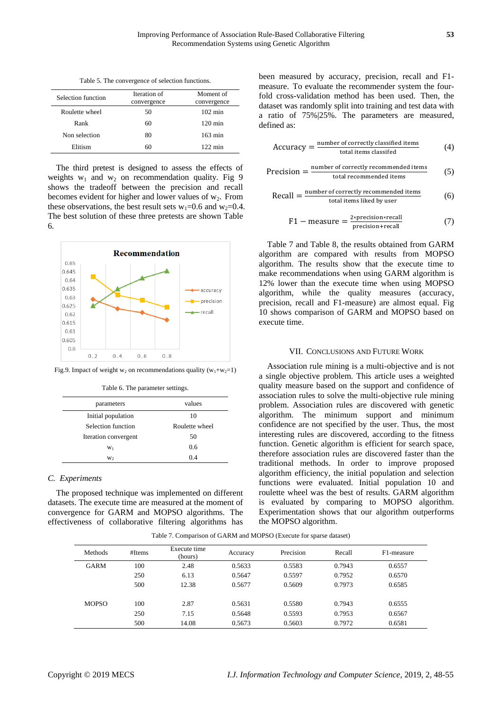Table 5. The convergence of selection functions.

| Selection function | Iteration of<br>convergence | Moment of<br>convergence |  |
|--------------------|-----------------------------|--------------------------|--|
| Roulette wheel     | 50                          | $102 \text{ min}$        |  |
| Rank               | 60                          | $120 \text{ min}$        |  |
| Non selection      | 80                          | $163 \text{ min}$        |  |
| Elitism            | 60                          | $122 \text{ min}$        |  |

The third pretest is designed to assess the effects of weights  $w_1$  and  $w_2$  on recommendation quality. Fig 9 shows the tradeoff between the precision and recall becomes evident for higher and lower values of  $w_2$ . From these observations, the best result sets  $w_1=0.6$  and  $w_2=0.4$ . The best solution of these three pretests are shown Table 6.



Fig.9. Impact of weight  $w_2$  on recommendations quality  $(w_1+w_2=1)$ 

Table 6. The parameter settings.

| parameters           | values         |
|----------------------|----------------|
| Initial population   | 10             |
| Selection function   | Roulette wheel |
| Iteration convergent | 50             |
| $W_1$                | 0.6            |
| W <sub>2</sub>       | 0 <sub>4</sub> |

## *C. Experiments*

The proposed technique was implemented on different datasets. The execute time are measured at the moment of convergence for GARM and MOPSO algorithms. The effectiveness of collaborative filtering algorithms has

been measured by accuracy, precision, recall and F1 measure. To evaluate the recommender system the fourfold cross-validation method has been used. Then, the dataset was randomly split into training and test data with a ratio of 75%|25%. The parameters are measured, defined as:

$$
Accuracy = \frac{number\ of\ correctly\ classified\ items}{total\ items\ classified} \tag{4}
$$

$$
Precision = \frac{number\ of\ correctly\ recommended\ items}{total\ recommended\ items} \tag{5}
$$

$$
Recall = \frac{number of correctly recommended items}{total items liked by user}
$$
 (6)

$$
F1 - measure = \frac{2 * precision * recall}{precision + recall}
$$
 (7)

Table 7 and Table 8, the results obtained from GARM algorithm are compared with results from MOPSO algorithm. The results show that the execute time to make recommendations when using GARM algorithm is 12% lower than the execute time when using MOPSO algorithm, while the quality measures (accuracy, precision, recall and F1-measure) are almost equal. Fig 10 shows comparison of GARM and MOPSO based on execute time.

#### VII. CONCLUSIONS AND FUTURE WORK

Association rule mining is a multi-objective and is not a single objective problem. This article uses a weighted quality measure based on the support and confidence of association rules to solve the multi-objective rule mining problem. Association rules are discovered with genetic algorithm. The minimum support and minimum confidence are not specified by the user. Thus, the most interesting rules are discovered, according to the fitness function. Genetic algorithm is efficient for search space, therefore association rules are discovered faster than the traditional methods. In order to improve proposed algorithm efficiency, the initial population and selection functions were evaluated. Initial population 10 and roulette wheel was the best of results. GARM algorithm is evaluated by comparing to MOPSO algorithm. Experimentation shows that our algorithm outperforms the MOPSO algorithm.

Table 7. Comparison of GARM and MOPSO (Execute for sparse dataset)

| <b>Methods</b> | #Items | Execute time<br>(hours) | Accuracy | Precision | Recall | F1-measure |
|----------------|--------|-------------------------|----------|-----------|--------|------------|
| <b>GARM</b>    | 100    | 2.48                    | 0.5633   | 0.5583    | 0.7943 | 0.6557     |
|                | 250    | 6.13                    | 0.5647   | 0.5597    | 0.7952 | 0.6570     |
|                | 500    | 12.38                   | 0.5677   | 0.5609    | 0.7973 | 0.6585     |
| <b>MOPSO</b>   | 100    | 2.87                    | 0.5631   | 0.5580    | 0.7943 | 0.6555     |
|                | 250    | 7.15                    | 0.5648   | 0.5593    | 0.7953 | 0.6567     |
|                | 500    | 14.08                   | 0.5673   | 0.5603    | 0.7972 | 0.6581     |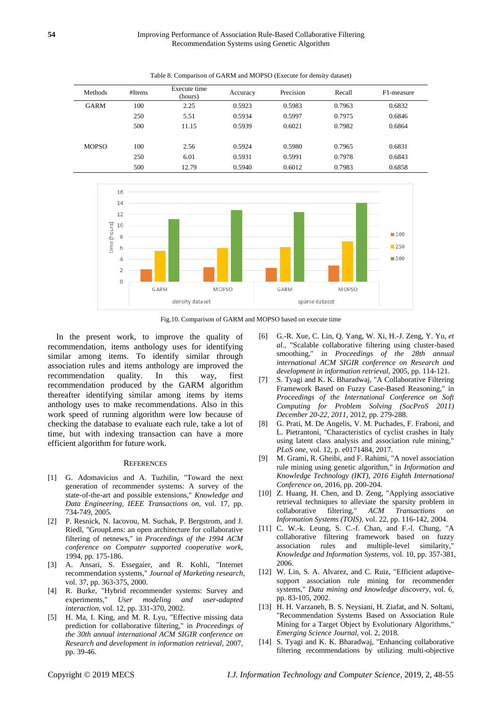| <b>Methods</b> | #Items | Execute time<br>(hours) | Accuracy | Precision | Recall | F1-measure |
|----------------|--------|-------------------------|----------|-----------|--------|------------|
| <b>GARM</b>    | 100    | 2.25                    | 0.5923   | 0.5983    | 0.7963 | 0.6832     |
|                | 250    | 5.51                    | 0.5934   | 0.5997    | 0.7975 | 0.6846     |
|                | 500    | 11.15                   | 0.5939   | 0.6021    | 0.7982 | 0.6864     |
|                |        |                         |          |           |        |            |
| <b>MOPSO</b>   | 100    | 2.56                    | 0.5924   | 0.5980    | 0.7965 | 0.6831     |
|                | 250    | 6.01                    | 0.5931   | 0.5991    | 0.7978 | 0.6843     |
|                | 500    | 12.79                   | 0.5940   | 0.6012    | 0.7983 | 0.6858     |







In the present work, to improve the quality of recommendation, items anthology uses for identifying similar among items. To identify similar through association rules and items anthology are improved the recommendation quality. In this way, first recommendation produced by the GARM algorithm thereafter identifying similar among items by items anthology uses to make recommendations. Also in this work speed of running algorithm were low because of checking the database to evaluate each rule, take a lot of time, but with indexing transaction can have a more efficient algorithm for future work.

## **REFERENCES**

- [1] G. Adomavicius and A. Tuzhilin, "Toward the next generation of recommender systems: A survey of the state-of-the-art and possible extensions," *Knowledge and Data Engineering, IEEE Transactions on,* vol. 17, pp. 734-749, 2005.
- <span id="page-6-0"></span>[2] P. Resnick, N. Iacovou, M. Suchak, P. Bergstrom, and J. Riedl, "GroupLens: an open architecture for collaborative filtering of netnews," in *Proceedings of the 1994 ACM conference on Computer supported cooperative work*, 1994, pp. 175-186.
- <span id="page-6-1"></span>[3] A. Ansari, S. Essegaier, and R. Kohli, "Internet recommendation systems," *Journal of Marketing research,*  vol. 37, pp. 363-375, 2000.
- <span id="page-6-2"></span>[4] R. Burke, "Hybrid recommender systems: Survey and experiments," *User modeling and user-adapted interaction,* vol. 12, pp. 331-370, 2002.
- <span id="page-6-3"></span>[5] H. Ma, I. King, and M. R. Lyu, "Effective missing data prediction for collaborative filtering," in *Proceedings of the 30th annual international ACM SIGIR conference on Research and development in information retrieval*, 2007, pp. 39-46.
- <span id="page-6-4"></span>[6] G.-R. Xue, C. Lin, Q. Yang, W. Xi, H.-J. Zeng, Y. Yu*, et al.*, "Scalable collaborative filtering using cluster-based smoothing," in *Proceedings of the 28th annual international ACM SIGIR conference on Research and development in information retrieval*, 2005, pp. 114-121.
- <span id="page-6-5"></span>[7] S. Tyagi and K. K. Bharadwaj, "A Collaborative Filtering Framework Based on Fuzzy Case-Based Reasoning," in *Proceedings of the International Conference on Soft Computing for Problem Solving (SocProS 2011) December 20-22, 2011*, 2012, pp. 279-288.
- <span id="page-6-6"></span>[8] G. Prati, M. De Angelis, V. M. Puchades, F. Fraboni, and L. Pietrantoni, "Characteristics of cyclist crashes in Italy using latent class analysis and association rule mining, *PLoS one,* vol. 12, p. e0171484, 2017.
- <span id="page-6-7"></span>[9] M. Grami, R. Gheibi, and F. Rahimi, "A novel association rule mining using genetic algorithm," in *Information and Knowledge Technology (IKT), 2016 Eighth International Conference on*, 2016, pp. 200-204.
- <span id="page-6-8"></span>[10] Z. Huang, H. Chen, and D. Zeng, "Applying associative retrieval techniques to alleviate the sparsity problem in collaborative filtering," *ACM Transactions on Information Systems (TOIS),* vol. 22, pp. 116-142, 2004.
- <span id="page-6-9"></span>[11] C. W.-k. Leung, S. C.-f. Chan, and F.-l. Chung, "A collaborative filtering framework based on fuzzy association rules and multiple-level similarity," *Knowledge and Information Systems,* vol. 10, pp. 357-381, 2006.
- <span id="page-6-10"></span>[12] W. Lin, S. A. Alvarez, and C. Ruiz, "Efficient adaptivesupport association rule mining for recommender systems," *Data mining and knowledge discovery,* vol. 6, pp. 83-105, 2002.
- <span id="page-6-11"></span>[13] H. H. Varzaneh, B. S. Neysiani, H. Ziafat, and N. Soltani, "Recommendation Systems Based on Association Rule Mining for a Target Object by Evolutionary Algorithms," *Emerging Science Journal,* vol. 2, 2018.
- <span id="page-6-12"></span>[14] S. Tyagi and K. K. Bharadwaj, "Enhancing collaborative filtering recommendations by utilizing multi-objective